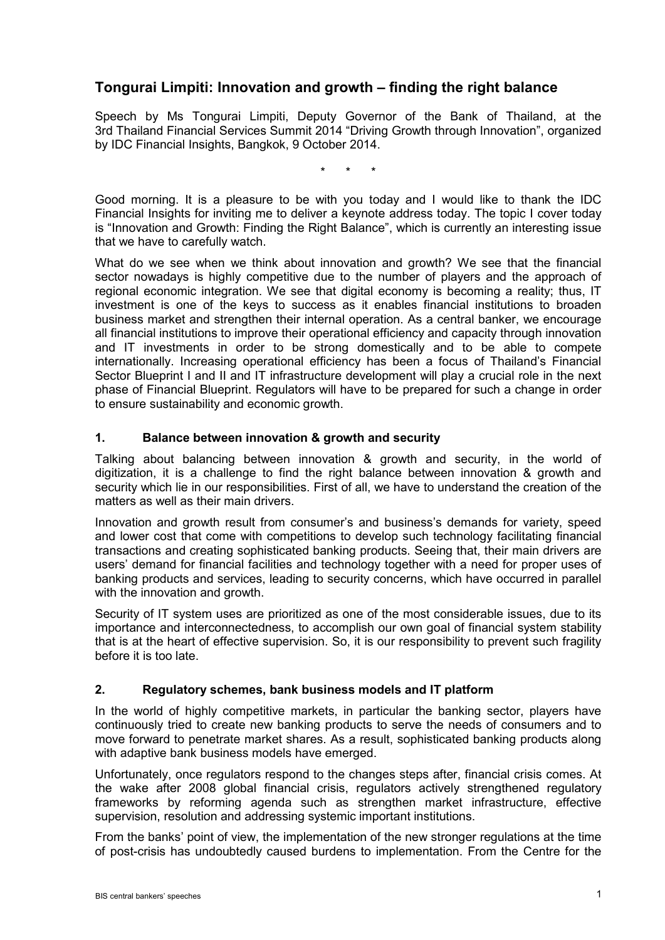# **Tongurai Limpiti: Innovation and growth – finding the right balance**

Speech by Ms Tongurai Limpiti, Deputy Governor of the Bank of Thailand, at the 3rd Thailand Financial Services Summit 2014 "Driving Growth through Innovation", organized by IDC Financial Insights, Bangkok, 9 October 2014.

\* \* \*

Good morning. It is a pleasure to be with you today and I would like to thank the IDC Financial Insights for inviting me to deliver a keynote address today. The topic I cover today is "Innovation and Growth: Finding the Right Balance", which is currently an interesting issue that we have to carefully watch.

What do we see when we think about innovation and growth? We see that the financial sector nowadays is highly competitive due to the number of players and the approach of regional economic integration. We see that digital economy is becoming a reality; thus, IT investment is one of the keys to success as it enables financial institutions to broaden business market and strengthen their internal operation. As a central banker, we encourage all financial institutions to improve their operational efficiency and capacity through innovation and IT investments in order to be strong domestically and to be able to compete internationally. Increasing operational efficiency has been a focus of Thailand's Financial Sector Blueprint I and II and IT infrastructure development will play a crucial role in the next phase of Financial Blueprint. Regulators will have to be prepared for such a change in order to ensure sustainability and economic growth.

## **1. Balance between innovation & growth and security**

Talking about balancing between innovation & growth and security, in the world of digitization, it is a challenge to find the right balance between innovation & growth and security which lie in our responsibilities. First of all, we have to understand the creation of the matters as well as their main drivers.

Innovation and growth result from consumer's and business's demands for variety, speed and lower cost that come with competitions to develop such technology facilitating financial transactions and creating sophisticated banking products. Seeing that, their main drivers are users' demand for financial facilities and technology together with a need for proper uses of banking products and services, leading to security concerns, which have occurred in parallel with the innovation and growth.

Security of IT system uses are prioritized as one of the most considerable issues, due to its importance and interconnectedness, to accomplish our own goal of financial system stability that is at the heart of effective supervision. So, it is our responsibility to prevent such fragility before it is too late.

## **2. Regulatory schemes, bank business models and IT platform**

In the world of highly competitive markets, in particular the banking sector, players have continuously tried to create new banking products to serve the needs of consumers and to move forward to penetrate market shares. As a result, sophisticated banking products along with adaptive bank business models have emerged.

Unfortunately, once regulators respond to the changes steps after, financial crisis comes. At the wake after 2008 global financial crisis, regulators actively strengthened regulatory frameworks by reforming agenda such as strengthen market infrastructure, effective supervision, resolution and addressing systemic important institutions.

From the banks' point of view, the implementation of the new stronger regulations at the time of post-crisis has undoubtedly caused burdens to implementation. From the Centre for the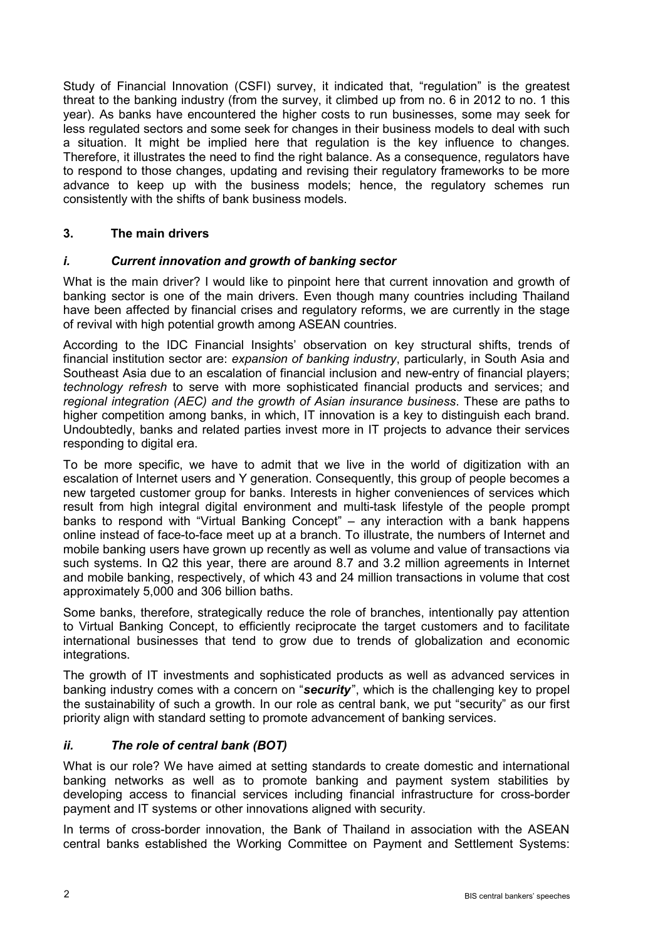Study of Financial Innovation (CSFI) survey, it indicated that, "regulation" is the greatest threat to the banking industry (from the survey, it climbed up from no. 6 in 2012 to no. 1 this year). As banks have encountered the higher costs to run businesses, some may seek for less regulated sectors and some seek for changes in their business models to deal with such a situation. It might be implied here that regulation is the key influence to changes. Therefore, it illustrates the need to find the right balance. As a consequence, regulators have to respond to those changes, updating and revising their regulatory frameworks to be more advance to keep up with the business models; hence, the regulatory schemes run consistently with the shifts of bank business models.

## **3. The main drivers**

## *i. Current innovation and growth of banking sector*

What is the main driver? I would like to pinpoint here that current innovation and growth of banking sector is one of the main drivers. Even though many countries including Thailand have been affected by financial crises and regulatory reforms, we are currently in the stage of revival with high potential growth among ASEAN countries.

According to the IDC Financial Insights' observation on key structural shifts, trends of financial institution sector are: *expansion of banking industry*, particularly, in South Asia and Southeast Asia due to an escalation of financial inclusion and new-entry of financial players; *technology refresh* to serve with more sophisticated financial products and services; and *regional integration (AEC) and the growth of Asian insurance business*. These are paths to higher competition among banks, in which, IT innovation is a key to distinguish each brand. Undoubtedly, banks and related parties invest more in IT projects to advance their services responding to digital era.

To be more specific, we have to admit that we live in the world of digitization with an escalation of Internet users and Y generation. Consequently, this group of people becomes a new targeted customer group for banks. Interests in higher conveniences of services which result from high integral digital environment and multi-task lifestyle of the people prompt banks to respond with "Virtual Banking Concept" – any interaction with a bank happens online instead of face-to-face meet up at a branch. To illustrate, the numbers of Internet and mobile banking users have grown up recently as well as volume and value of transactions via such systems. In Q2 this year, there are around 8.7 and 3.2 million agreements in Internet and mobile banking, respectively, of which 43 and 24 million transactions in volume that cost approximately 5,000 and 306 billion baths.

Some banks, therefore, strategically reduce the role of branches, intentionally pay attention to Virtual Banking Concept, to efficiently reciprocate the target customers and to facilitate international businesses that tend to grow due to trends of globalization and economic integrations.

The growth of IT investments and sophisticated products as well as advanced services in banking industry comes with a concern on "*security*", which is the challenging key to propel the sustainability of such a growth. In our role as central bank, we put "security" as our first priority align with standard setting to promote advancement of banking services.

#### *ii. The role of central bank (BOT)*

What is our role? We have aimed at setting standards to create domestic and international banking networks as well as to promote banking and payment system stabilities by developing access to financial services including financial infrastructure for cross-border payment and IT systems or other innovations aligned with security.

In terms of cross-border innovation, the Bank of Thailand in association with the ASEAN central banks established the Working Committee on Payment and Settlement Systems: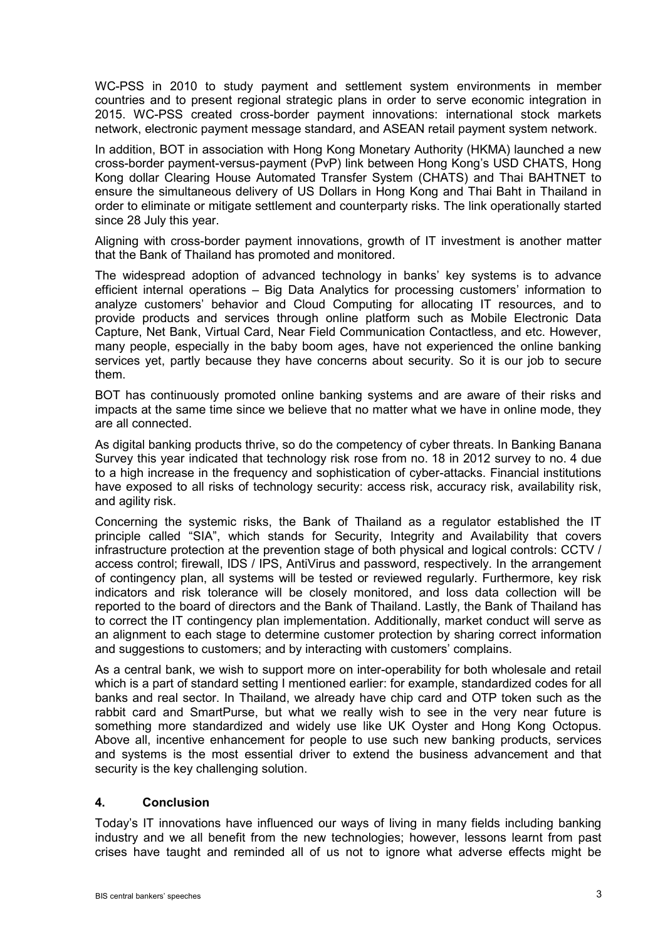WC-PSS in 2010 to study payment and settlement system environments in member countries and to present regional strategic plans in order to serve economic integration in 2015. WC-PSS created cross-border payment innovations: international stock markets network, electronic payment message standard, and ASEAN retail payment system network.

In addition, BOT in association with Hong Kong Monetary Authority (HKMA) launched a new cross-border payment-versus-payment (PvP) link between Hong Kong's USD CHATS, Hong Kong dollar Clearing House Automated Transfer System (CHATS) and Thai BAHTNET to ensure the simultaneous delivery of US Dollars in Hong Kong and Thai Baht in Thailand in order to eliminate or mitigate settlement and counterparty risks. The link operationally started since 28 July this year.

Aligning with cross-border payment innovations, growth of IT investment is another matter that the Bank of Thailand has promoted and monitored.

The widespread adoption of advanced technology in banks' key systems is to advance efficient internal operations – Big Data Analytics for processing customers' information to analyze customers' behavior and Cloud Computing for allocating IT resources, and to provide products and services through online platform such as Mobile Electronic Data Capture, Net Bank, Virtual Card, Near Field Communication Contactless, and etc. However, many people, especially in the baby boom ages, have not experienced the online banking services yet, partly because they have concerns about security. So it is our job to secure them.

BOT has continuously promoted online banking systems and are aware of their risks and impacts at the same time since we believe that no matter what we have in online mode, they are all connected.

As digital banking products thrive, so do the competency of cyber threats. In Banking Banana Survey this year indicated that technology risk rose from no. 18 in 2012 survey to no. 4 due to a high increase in the frequency and sophistication of cyber-attacks. Financial institutions have exposed to all risks of technology security: access risk, accuracy risk, availability risk, and agility risk.

Concerning the systemic risks, the Bank of Thailand as a regulator established the IT principle called "SIA", which stands for Security, Integrity and Availability that covers infrastructure protection at the prevention stage of both physical and logical controls: CCTV / access control; firewall, IDS / IPS, AntiVirus and password, respectively. In the arrangement of contingency plan, all systems will be tested or reviewed regularly. Furthermore, key risk indicators and risk tolerance will be closely monitored, and loss data collection will be reported to the board of directors and the Bank of Thailand. Lastly, the Bank of Thailand has to correct the IT contingency plan implementation. Additionally, market conduct will serve as an alignment to each stage to determine customer protection by sharing correct information and suggestions to customers; and by interacting with customers' complains.

As a central bank, we wish to support more on inter-operability for both wholesale and retail which is a part of standard setting I mentioned earlier: for example, standardized codes for all banks and real sector. In Thailand, we already have chip card and OTP token such as the rabbit card and SmartPurse, but what we really wish to see in the very near future is something more standardized and widely use like UK Oyster and Hong Kong Octopus. Above all, incentive enhancement for people to use such new banking products, services and systems is the most essential driver to extend the business advancement and that security is the key challenging solution.

#### **4. Conclusion**

Today's IT innovations have influenced our ways of living in many fields including banking industry and we all benefit from the new technologies; however, lessons learnt from past crises have taught and reminded all of us not to ignore what adverse effects might be